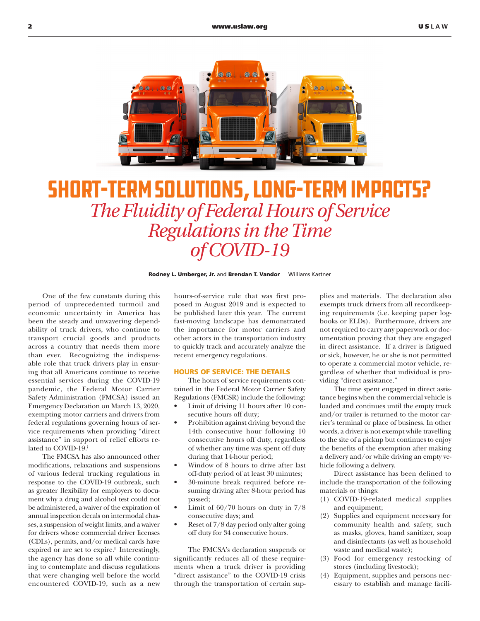

## Short-Term Solutions, Long-Term Impacts? *The Fluidity of Federal Hours of Service Regulations in the Time of COVID-19*

Rodney L. Umberger, Jr. and Brendan T. Vandor Williams Kastner

One of the few constants during this period of unprecedented turmoil and economic uncertainty in America has been the steady and unwavering dependability of truck drivers, who continue to transport crucial goods and products across a country that needs them more than ever. Recognizing the indispensable role that truck drivers play in ensuring that all Americans continue to receive essential services during the COVID-19 pandemic, the Federal Motor Carrier Safety Administration (FMCSA) issued an Emergency Declaration on March 13, 2020, exempting motor carriers and drivers from federal regulations governing hours of service requirements when providing "direct assistance" in support of relief efforts related to COVID-19.

The FMCSA has also announced other modifications, relaxations and suspensions of various federal trucking regulations in response to the COVID-19 outbreak, such as greater flexibility for employers to document why a drug and alcohol test could not be administered, a waiver of the expiration of annual inspection decals on intermodal chasses, a suspension of weight limits, and a waiver for drivers whose commercial driver licenses (CDLs), permits, and/or medical cards have expired or are set to expire.<sup>ii</sup> Interestingly, the agency has done so all while continuing to contemplate and discuss regulations that were changing well before the world encountered COVID-19, such as a new

hours-of-service rule that was first proposed in August 2019 and is expected to be published later this year. The current fast-moving landscape has demonstrated the importance for motor carriers and other actors in the transportation industry to quickly track and accurately analyze the recent emergency regulations.

## HOURS OF SERVICE: THE DETAILS

The hours of service requirements contained in the Federal Motor Carrier Safety Regulations (FMCSR) include the following:

- Limit of driving 11 hours after 10 consecutive hours off duty;
- Prohibition against driving beyond the 14th consecutive hour following 10 consecutive hours off duty, regardless of whether any time was spent off duty during that 14-hour period;
- Window of 8 hours to drive after last off-duty period of at least 30 minutes;
- 30-minute break required before resuming driving after 8-hour period has passed;
- Limit of  $60/70$  hours on duty in  $7/8$ consecutive days; and
- Reset of 7/8 day period only after going off duty for 34 consecutive hours.

The FMCSA's declaration suspends or significantly reduces all of these requirements when a truck driver is providing "direct assistance" to the COVID-19 crisis through the transportation of certain supplies and materials. The declaration also exempts truck drivers from all recordkeeping requirements (i.e. keeping paper logbooks or ELDs). Furthermore, drivers are not required to carry any paperwork or documentation proving that they are engaged in direct assistance. If a driver is fatigued or sick, however, he or she is not permitted to operate a commercial motor vehicle, regardless of whether that individual is providing "direct assistance."

The time spent engaged in direct assistance begins when the commercial vehicle is loaded and continues until the empty truck and/or trailer is returned to the motor carrier's terminal or place of business. In other words, a driver is not exempt while travelling to the site of a pickup but continues to enjoy the benefits of the exemption after making a delivery and/or while driving an empty vehicle following a delivery.

Direct assistance has been defined to include the transportation of the following materials or things:

- (1) COVID-19-related medical supplies and equipment;
- (2) Supplies and equipment necessary for community health and safety, such as masks, gloves, hand sanitizer, soap and disinfectants (as well as household waste and medical waste);
- (3) Food for emergency restocking of stores (including livestock);
- (4) Equipment, supplies and persons necessary to establish and manage facili-